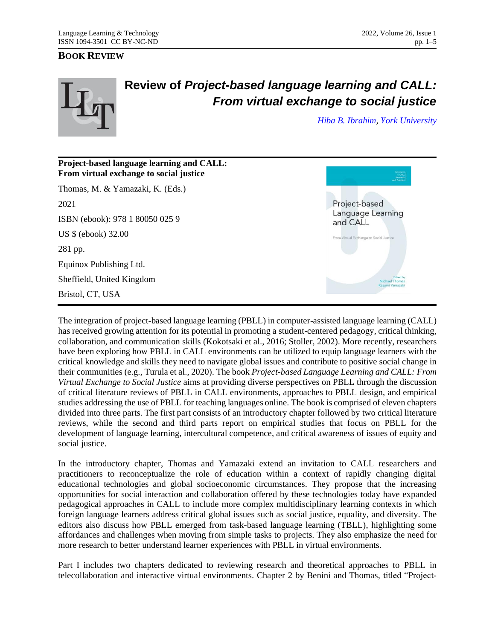## **BOOK REVIEW**



## **Review of** *Project-based language learning and CALL: From virtual exchange to social justice*

*[Hiba B. Ibrahim,](mailto:hibaib87@yorku.ca) [York University](https://www.yorku.ca/)*



The integration of project-based language learning (PBLL) in computer-assisted language learning (CALL) has received growing attention for its potential in promoting a student-centered pedagogy, critical thinking, collaboration, and communication skills (Kokotsaki et al., 2016; Stoller, 2002). More recently, researchers have been exploring how PBLL in CALL environments can be utilized to equip language learners with the critical knowledge and skills they need to navigate global issues and contribute to positive social change in their communities (e.g., Turula et al., 2020). The book *Project-based Language Learning and CALL: From Virtual Exchange to Social Justice* aims at providing diverse perspectives on PBLL through the discussion of critical literature reviews of PBLL in CALL environments, approaches to PBLL design, and empirical studies addressing the use of PBLL for teaching languages online. The book is comprised of eleven chapters divided into three parts. The first part consists of an introductory chapter followed by two critical literature reviews, while the second and third parts report on empirical studies that focus on PBLL for the development of language learning, intercultural competence, and critical awareness of issues of equity and social justice.

In the introductory chapter, Thomas and Yamazaki extend an invitation to CALL researchers and practitioners to reconceptualize the role of education within a context of rapidly changing digital educational technologies and global socioeconomic circumstances. They propose that the increasing opportunities for social interaction and collaboration offered by these technologies today have expanded pedagogical approaches in CALL to include more complex multidisciplinary learning contexts in which foreign language learners address critical global issues such as social justice, equality, and diversity. The editors also discuss how PBLL emerged from task-based language learning (TBLL), highlighting some affordances and challenges when moving from simple tasks to projects. They also emphasize the need for more research to better understand learner experiences with PBLL in virtual environments.

Part I includes two chapters dedicated to reviewing research and theoretical approaches to PBLL in telecollaboration and interactive virtual environments. Chapter 2 by Benini and Thomas, titled "Project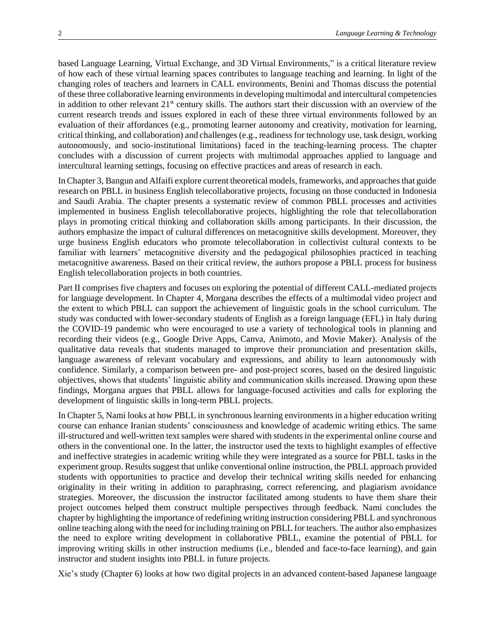based Language Learning, Virtual Exchange, and 3D Virtual Environments," is a critical literature review of how each of these virtual learning spaces contributes to language teaching and learning. In light of the changing roles of teachers and learners in CALL environments, Benini and Thomas discuss the potential of these three collaborative learning environments in developing multimodal and intercultural competencies in addition to other relevant  $21<sup>st</sup>$  century skills. The authors start their discussion with an overview of the current research trends and issues explored in each of these three virtual environments followed by an evaluation of their affordances (e.g., promoting learner autonomy and creativity, motivation for learning, critical thinking, and collaboration) and challenges (e.g., readiness for technology use, task design, working autonomously, and socio-institutional limitations) faced in the teaching-learning process. The chapter concludes with a discussion of current projects with multimodal approaches applied to language and intercultural learning settings, focusing on effective practices and areas of research in each.

In Chapter 3, Bangun and Alfaifi explore current theoretical models, frameworks, and approaches that guide research on PBLL in business English telecollaborative projects, focusing on those conducted in Indonesia and Saudi Arabia. The chapter presents a systematic review of common PBLL processes and activities implemented in business English telecollaborative projects, highlighting the role that telecollaboration plays in promoting critical thinking and collaboration skills among participants. In their discussion, the authors emphasize the impact of cultural differences on metacognitive skills development. Moreover, they urge business English educators who promote telecollaboration in collectivist cultural contexts to be familiar with learners' metacognitive diversity and the pedagogical philosophies practiced in teaching metacognitive awareness. Based on their critical review, the authors propose a PBLL process for business English telecollaboration projects in both countries.

Part II comprises five chapters and focuses on exploring the potential of different CALL-mediated projects for language development. In Chapter 4, Morgana describes the effects of a multimodal video project and the extent to which PBLL can support the achievement of linguistic goals in the school curriculum. The study was conducted with lower-secondary students of English as a foreign language (EFL) in Italy during the COVID-19 pandemic who were encouraged to use a variety of technological tools in planning and recording their videos (e.g., Google Drive Apps, Canva, Animoto, and Movie Maker). Analysis of the qualitative data reveals that students managed to improve their pronunciation and presentation skills, language awareness of relevant vocabulary and expressions, and ability to learn autonomously with confidence. Similarly, a comparison between pre- and post-project scores, based on the desired linguistic objectives, shows that students' linguistic ability and communication skills increased. Drawing upon these findings, Morgana argues that PBLL allows for language-focused activities and calls for exploring the development of linguistic skills in long-term PBLL projects.

In Chapter 5, Nami looks at how PBLL in synchronous learning environments in a higher education writing course can enhance Iranian students' consciousness and knowledge of academic writing ethics. The same ill-structured and well-written text samples were shared with students in the experimental online course and others in the conventional one. In the latter, the instructor used the texts to highlight examples of effective and ineffective strategies in academic writing while they were integrated as a source for PBLL tasks in the experiment group. Results suggest that unlike conventional online instruction, the PBLL approach provided students with opportunities to practice and develop their technical writing skills needed for enhancing originality in their writing in addition to paraphrasing, correct referencing, and plagiarism avoidance strategies. Moreover, the discussion the instructor facilitated among students to have them share their project outcomes helped them construct multiple perspectives through feedback. Nami concludes the chapter by highlighting the importance of redefining writing instruction considering PBLL and synchronous online teaching along with the need for including training on PBLL for teachers. The author also emphasizes the need to explore writing development in collaborative PBLL, examine the potential of PBLL for improving writing skills in other instruction mediums (i.e., blended and face-to-face learning), and gain instructor and student insights into PBLL in future projects.

Xie's study (Chapter 6) looks at how two digital projects in an advanced content-based Japanese language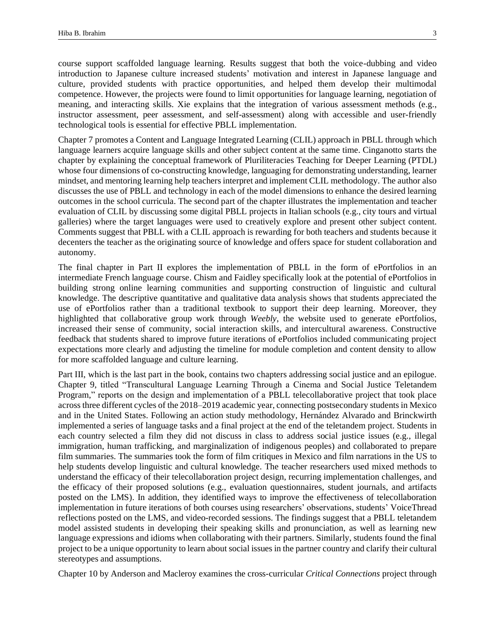course support scaffolded language learning. Results suggest that both the voice-dubbing and video introduction to Japanese culture increased students' motivation and interest in Japanese language and culture, provided students with practice opportunities, and helped them develop their multimodal competence. However, the projects were found to limit opportunities for language learning, negotiation of meaning, and interacting skills. Xie explains that the integration of various assessment methods (e.g., instructor assessment, peer assessment, and self-assessment) along with accessible and user-friendly technological tools is essential for effective PBLL implementation.

Chapter 7 promotes a Content and Language Integrated Learning (CLIL) approach in PBLL through which language learners acquire language skills and other subject content at the same time. Cinganotto starts the chapter by explaining the conceptual framework of Pluriliteracies Teaching for Deeper Learning (PTDL) whose four dimensions of co-constructing knowledge, languaging for demonstrating understanding, learner mindset, and mentoring learning help teachers interpret and implement CLIL methodology. The author also discusses the use of PBLL and technology in each of the model dimensions to enhance the desired learning outcomes in the school curricula. The second part of the chapter illustrates the implementation and teacher evaluation of CLIL by discussing some digital PBLL projects in Italian schools (e.g., city tours and virtual galleries) where the target languages were used to creatively explore and present other subject content. Comments suggest that PBLL with a CLIL approach is rewarding for both teachers and students because it decenters the teacher as the originating source of knowledge and offers space for student collaboration and autonomy.

The final chapter in Part II explores the implementation of PBLL in the form of ePortfolios in an intermediate French language course. Chism and Faidley specifically look at the potential of ePortfolios in building strong online learning communities and supporting construction of linguistic and cultural knowledge. The descriptive quantitative and qualitative data analysis shows that students appreciated the use of ePortfolios rather than a traditional textbook to support their deep learning. Moreover, they highlighted that collaborative group work through *Weebly*, the website used to generate ePortfolios, increased their sense of community, social interaction skills, and intercultural awareness. Constructive feedback that students shared to improve future iterations of ePortfolios included communicating project expectations more clearly and adjusting the timeline for module completion and content density to allow for more scaffolded language and culture learning.

Part III, which is the last part in the book, contains two chapters addressing social justice and an epilogue. Chapter 9, titled "Transcultural Language Learning Through a Cinema and Social Justice Teletandem Program," reports on the design and implementation of a PBLL telecollaborative project that took place across three different cycles of the 2018–2019 academic year, connecting postsecondary students in Mexico and in the United States. Following an action study methodology, Hernández Alvarado and Brinckwirth implemented a series of language tasks and a final project at the end of the teletandem project. Students in each country selected a film they did not discuss in class to address social justice issues (e.g., illegal immigration, human trafficking, and marginalization of indigenous peoples) and collaborated to prepare film summaries. The summaries took the form of film critiques in Mexico and film narrations in the US to help students develop linguistic and cultural knowledge. The teacher researchers used mixed methods to understand the efficacy of their telecollaboration project design, recurring implementation challenges, and the efficacy of their proposed solutions (e.g., evaluation questionnaires, student journals, and artifacts posted on the LMS). In addition, they identified ways to improve the effectiveness of telecollaboration implementation in future iterations of both courses using researchers' observations, students' VoiceThread reflections posted on the LMS, and video-recorded sessions. The findings suggest that a PBLL teletandem model assisted students in developing their speaking skills and pronunciation, as well as learning new language expressions and idioms when collaborating with their partners. Similarly, students found the final project to be a unique opportunity to learn about social issues in the partner country and clarify their cultural stereotypes and assumptions.

Chapter 10 by Anderson and Macleroy examines the cross-curricular *Critical Connections* project through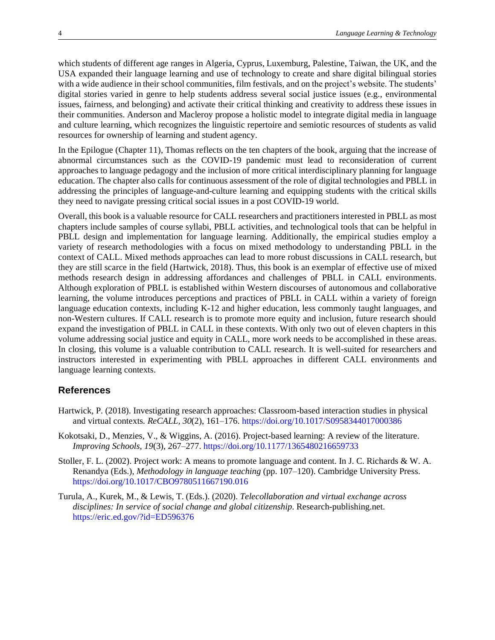which students of different age ranges in Algeria, Cyprus, Luxemburg, Palestine, Taiwan, the UK, and the USA expanded their language learning and use of technology to create and share digital bilingual stories with a wide audience in their school communities, film festivals, and on the project's website. The students' digital stories varied in genre to help students address several social justice issues (e.g., environmental issues, fairness, and belonging) and activate their critical thinking and creativity to address these issues in their communities. Anderson and Macleroy propose a holistic model to integrate digital media in language and culture learning, which recognizes the linguistic repertoire and semiotic resources of students as valid resources for ownership of learning and student agency.

In the Epilogue (Chapter 11), Thomas reflects on the ten chapters of the book, arguing that the increase of abnormal circumstances such as the COVID-19 pandemic must lead to reconsideration of current approaches to language pedagogy and the inclusion of more critical interdisciplinary planning for language education. The chapter also calls for continuous assessment of the role of digital technologies and PBLL in addressing the principles of language-and-culture learning and equipping students with the critical skills they need to navigate pressing critical social issues in a post COVID-19 world.

Overall, this book is a valuable resource for CALL researchers and practitioners interested in PBLL as most chapters include samples of course syllabi, PBLL activities, and technological tools that can be helpful in PBLL design and implementation for language learning. Additionally, the empirical studies employ a variety of research methodologies with a focus on mixed methodology to understanding PBLL in the context of CALL. Mixed methods approaches can lead to more robust discussions in CALL research, but they are still scarce in the field (Hartwick, 2018). Thus, this book is an exemplar of effective use of mixed methods research design in addressing affordances and challenges of PBLL in CALL environments. Although exploration of PBLL is established within Western discourses of autonomous and collaborative learning, the volume introduces perceptions and practices of PBLL in CALL within a variety of foreign language education contexts, including K-12 and higher education, less commonly taught languages, and non-Western cultures. If CALL research is to promote more equity and inclusion, future research should expand the investigation of PBLL in CALL in these contexts. With only two out of eleven chapters in this volume addressing social justice and equity in CALL, more work needs to be accomplished in these areas. In closing, this volume is a valuable contribution to CALL research. It is well-suited for researchers and instructors interested in experimenting with PBLL approaches in different CALL environments and language learning contexts.

## **References**

- Hartwick, P. (2018). Investigating research approaches: Classroom-based interaction studies in physical and virtual contexts*. ReCALL, 30*(2), 161–176.<https://doi.org/10.1017/S0958344017000386>
- Kokotsaki, D., Menzies, V., & Wiggins, A. (2016). Project-based learning: A review of the literature. *Improving Schools, 19*(3), 267–277[. https://doi.org/10.1177/1365480216659733](https://doi.org/10.1177/1365480216659733)
- Stoller, F. L. (2002). Project work: A means to promote language and content. In J. C. Richards & W. A. Renandya (Eds.), *Methodology in language teaching* (pp. 107–120). Cambridge University Press. https://doi.org/10.1017/CBO9780511667190.016
- Turula, A., Kurek, M., & Lewis, T. (Eds.). (2020). *Telecollaboration and virtual exchange across disciplines: In service of social change and global citizenship*. Research-publishing.net. <https://eric.ed.gov/?id=ED596376>